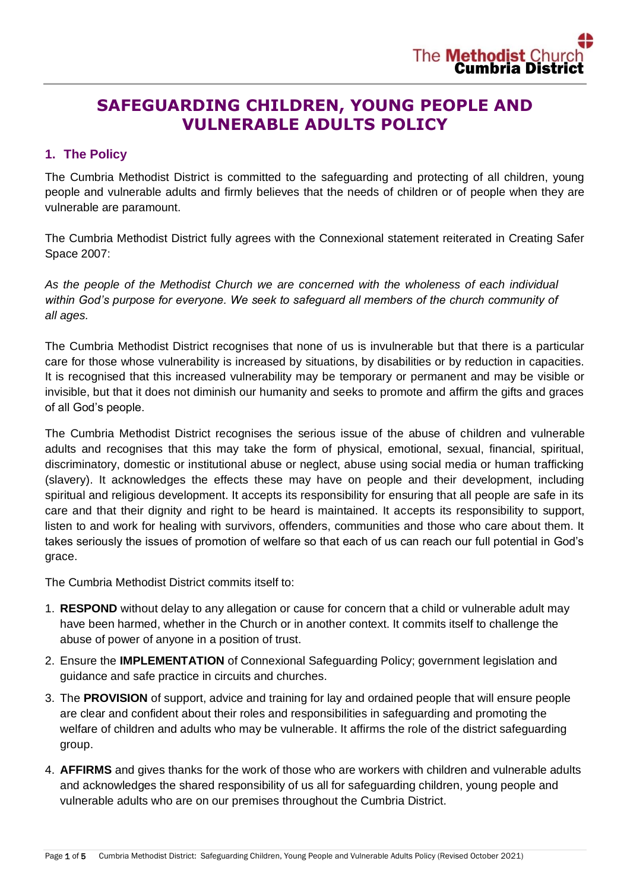# **SAFEGUARDING CHILDREN, YOUNG PEOPLE AND VULNERABLE ADULTS POLICY**

# **1. The Policy**

The Cumbria Methodist District is committed to the safeguarding and protecting of all children, young people and vulnerable adults and firmly believes that the needs of children or of people when they are vulnerable are paramount.

The Cumbria Methodist District fully agrees with the Connexional statement reiterated in Creating Safer Space 2007:

*As the people of the Methodist Church we are concerned with the wholeness of each individual within God's purpose for everyone. We seek to safeguard all members of the church community of all ages.*

The Cumbria Methodist District recognises that none of us is invulnerable but that there is a particular care for those whose vulnerability is increased by situations, by disabilities or by reduction in capacities. It is recognised that this increased vulnerability may be temporary or permanent and may be visible or invisible, but that it does not diminish our humanity and seeks to promote and affirm the gifts and graces of all God's people.

The Cumbria Methodist District recognises the serious issue of the abuse of children and vulnerable adults and recognises that this may take the form of physical, emotional, sexual, financial, spiritual, discriminatory, domestic or institutional abuse or neglect, abuse using social media or human trafficking (slavery). It acknowledges the effects these may have on people and their development, including spiritual and religious development. It accepts its responsibility for ensuring that all people are safe in its care and that their dignity and right to be heard is maintained. It accepts its responsibility to support, listen to and work for healing with survivors, offenders, communities and those who care about them. It takes seriously the issues of promotion of welfare so that each of us can reach our full potential in God's grace.

The Cumbria Methodist District commits itself to:

- 1. **RESPOND** without delay to any allegation or cause for concern that a child or vulnerable adult may have been harmed, whether in the Church or in another context. It commits itself to challenge the abuse of power of anyone in a position of trust.
- 2. Ensure the **IMPLEMENTATION** of Connexional Safeguarding Policy; government legislation and guidance and safe practice in circuits and churches.
- 3. The **PROVISION** of support, advice and training for lay and ordained people that will ensure people are clear and confident about their roles and responsibilities in safeguarding and promoting the welfare of children and adults who may be vulnerable. It affirms the role of the district safeguarding group.
- 4. **AFFIRMS** and gives thanks for the work of those who are workers with children and vulnerable adults and acknowledges the shared responsibility of us all for safeguarding children, young people and vulnerable adults who are on our premises throughout the Cumbria District.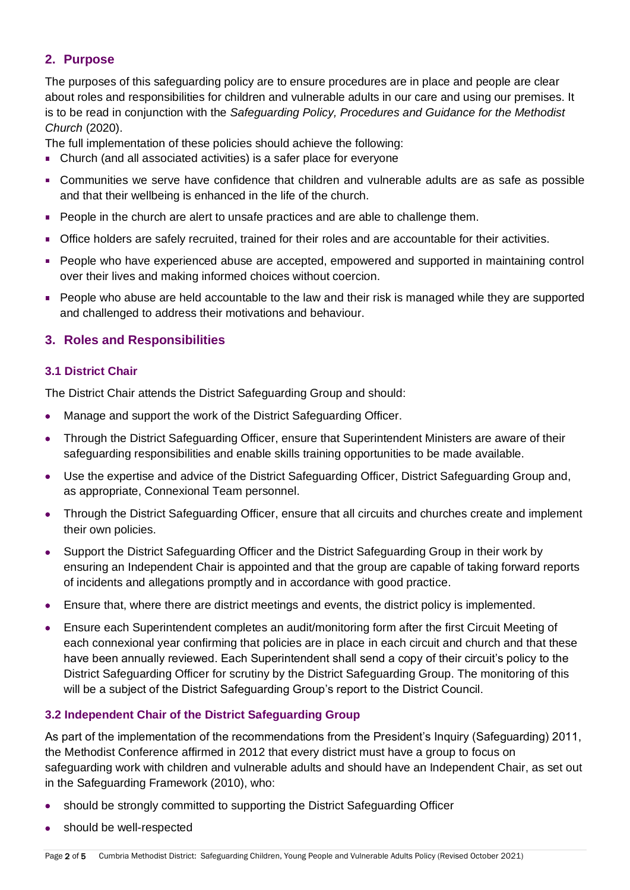# **2. Purpose**

The purposes of this safeguarding policy are to ensure procedures are in place and people are clear about roles and responsibilities for children and vulnerable adults in our care and using our premises. It is to be read in conjunction with the *Safeguarding Policy, Procedures and Guidance for the Methodist Church* (2020).

The full implementation of these policies should achieve the following:

- Church (and all associated activities) is a safer place for everyone
- Communities we serve have confidence that children and vulnerable adults are as safe as possible and that their wellbeing is enhanced in the life of the church.
- **People in the church are alert to unsafe practices and are able to challenge them.**
- Office holders are safely recruited, trained for their roles and are accountable for their activities.
- **People who have experienced abuse are accepted, empowered and supported in maintaining control** over their lives and making informed choices without coercion.
- People who abuse are held accountable to the law and their risk is managed while they are supported and challenged to address their motivations and behaviour.

# **3. Roles and Responsibilities**

## **3.1 District Chair**

The District Chair attends the District Safeguarding Group and should:

- Manage and support the work of the District Safeguarding Officer.
- Through the District Safeguarding Officer, ensure that Superintendent Ministers are aware of their safeguarding responsibilities and enable skills training opportunities to be made available.
- Use the expertise and advice of the District Safeguarding Officer, District Safeguarding Group and, as appropriate, Connexional Team personnel.
- Through the District Safeguarding Officer, ensure that all circuits and churches create and implement their own policies.
- Support the District Safeguarding Officer and the District Safeguarding Group in their work by ensuring an Independent Chair is appointed and that the group are capable of taking forward reports of incidents and allegations promptly and in accordance with good practice.
- Ensure that, where there are district meetings and events, the district policy is implemented.
- Ensure each Superintendent completes an audit/monitoring form after the first Circuit Meeting of each connexional year confirming that policies are in place in each circuit and church and that these have been annually reviewed. Each Superintendent shall send a copy of their circuit's policy to the District Safeguarding Officer for scrutiny by the District Safeguarding Group. The monitoring of this will be a subject of the District Safeguarding Group's report to the District Council.

## **3.2 Independent Chair of the District Safeguarding Group**

As part of the implementation of the recommendations from the President's Inquiry (Safeguarding) 2011, the Methodist Conference affirmed in 2012 that every district must have a group to focus on safeguarding work with children and vulnerable adults and should have an Independent Chair, as set out in the Safeguarding Framework (2010), who:

- should be strongly committed to supporting the District Safeguarding Officer
- should be well-respected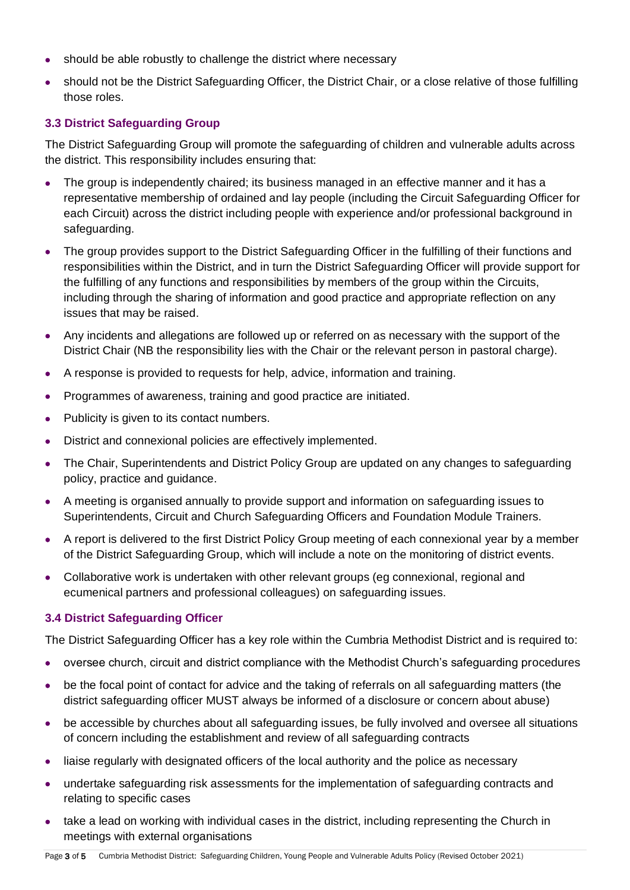- should be able robustly to challenge the district where necessary
- should not be the District Safeguarding Officer, the District Chair, or a close relative of those fulfilling those roles.

# **3.3 District Safeguarding Group**

The District Safeguarding Group will promote the safeguarding of children and vulnerable adults across the district. This responsibility includes ensuring that:

- The group is independently chaired; its business managed in an effective manner and it has a representative membership of ordained and lay people (including the Circuit Safeguarding Officer for each Circuit) across the district including people with experience and/or professional background in safeguarding.
- The group provides support to the District Safeguarding Officer in the fulfilling of their functions and responsibilities within the District, and in turn the District Safeguarding Officer will provide support for the fulfilling of any functions and responsibilities by members of the group within the Circuits, including through the sharing of information and good practice and appropriate reflection on any issues that may be raised.
- Any incidents and allegations are followed up or referred on as necessary with the support of the District Chair (NB the responsibility lies with the Chair or the relevant person in pastoral charge).
- A response is provided to requests for help, advice, information and training.
- Programmes of awareness, training and good practice are initiated.
- Publicity is given to its contact numbers.
- District and connexional policies are effectively implemented.
- The Chair, Superintendents and District Policy Group are updated on any changes to safeguarding policy, practice and guidance.
- A meeting is organised annually to provide support and information on safeguarding issues to Superintendents, Circuit and Church Safeguarding Officers and Foundation Module Trainers.
- A report is delivered to the first District Policy Group meeting of each connexional year by a member of the District Safeguarding Group, which will include a note on the monitoring of district events.
- Collaborative work is undertaken with other relevant groups (eg connexional, regional and ecumenical partners and professional colleagues) on safeguarding issues.

## **3.4 District Safeguarding Officer**

The District Safeguarding Officer has a key role within the Cumbria Methodist District and is required to:

- oversee church, circuit and district compliance with the Methodist Church's safeguarding procedures
- be the focal point of contact for advice and the taking of referrals on all safeguarding matters (the district safeguarding officer MUST always be informed of a disclosure or concern about abuse)
- be accessible by churches about all safeguarding issues, be fully involved and oversee all situations of concern including the establishment and review of all safeguarding contracts
- liaise regularly with designated officers of the local authority and the police as necessary
- undertake safeguarding risk assessments for the implementation of safeguarding contracts and relating to specific cases
- take a lead on working with individual cases in the district, including representing the Church in meetings with external organisations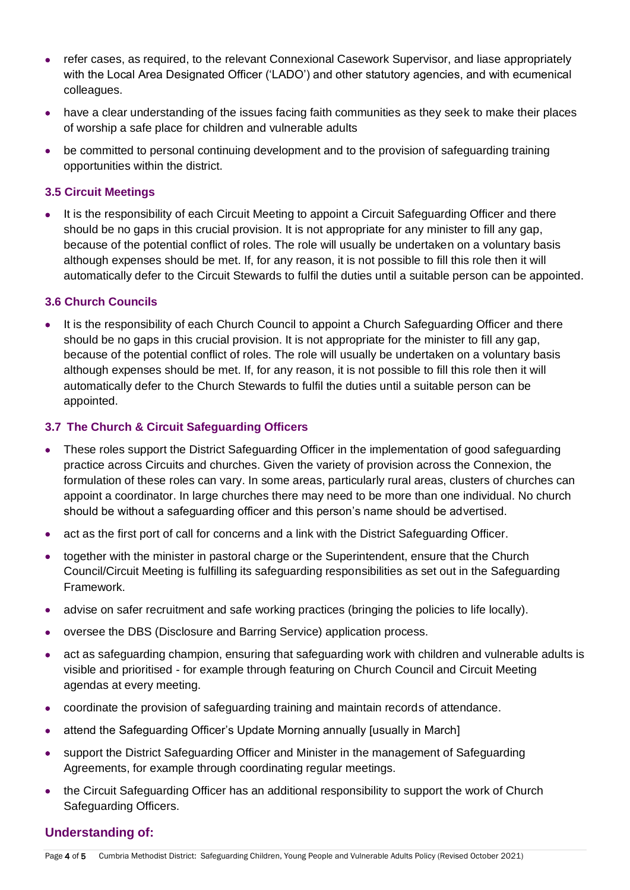- refer cases, as required, to the relevant Connexional Casework Supervisor, and liase appropriately with the Local Area Designated Officer ('LADO') and other statutory agencies, and with ecumenical colleagues.
- have a clear understanding of the issues facing faith communities as they seek to make their places of worship a safe place for children and vulnerable adults
- be committed to personal continuing development and to the provision of safeguarding training opportunities within the district.

#### **3.5 Circuit Meetings**

• It is the responsibility of each Circuit Meeting to appoint a Circuit Safeguarding Officer and there should be no gaps in this crucial provision. It is not appropriate for any minister to fill any gap, because of the potential conflict of roles. The role will usually be undertaken on a voluntary basis although expenses should be met. If, for any reason, it is not possible to fill this role then it will automatically defer to the Circuit Stewards to fulfil the duties until a suitable person can be appointed.

## **3.6 Church Councils**

• It is the responsibility of each Church Council to appoint a Church Safeguarding Officer and there should be no gaps in this crucial provision. It is not appropriate for the minister to fill any gap, because of the potential conflict of roles. The role will usually be undertaken on a voluntary basis although expenses should be met. If, for any reason, it is not possible to fill this role then it will automatically defer to the Church Stewards to fulfil the duties until a suitable person can be appointed.

## **3.7 The Church & Circuit Safeguarding Officers**

- These roles support the District Safeguarding Officer in the implementation of good safeguarding practice across Circuits and churches. Given the variety of provision across the Connexion, the formulation of these roles can vary. In some areas, particularly rural areas, clusters of churches can appoint a coordinator. In large churches there may need to be more than one individual. No church should be without a safeguarding officer and this person's name should be advertised.
- act as the first port of call for concerns and a link with the District Safeguarding Officer.
- together with the minister in pastoral charge or the Superintendent, ensure that the Church Council/Circuit Meeting is fulfilling its safeguarding responsibilities as set out in the Safeguarding Framework.
- advise on safer recruitment and safe working practices (bringing the policies to life locally).
- oversee the DBS (Disclosure and Barring Service) application process.
- act as safeguarding champion, ensuring that safeguarding work with children and vulnerable adults is visible and prioritised - for example through featuring on Church Council and Circuit Meeting agendas at every meeting.
- coordinate the provision of safeguarding training and maintain records of attendance.
- attend the Safeguarding Officer's Update Morning annually [usually in March]
- support the District Safeguarding Officer and Minister in the management of Safeguarding Agreements, for example through coordinating regular meetings.
- the Circuit Safeguarding Officer has an additional responsibility to support the work of Church Safeguarding Officers.

## **Understanding of:**